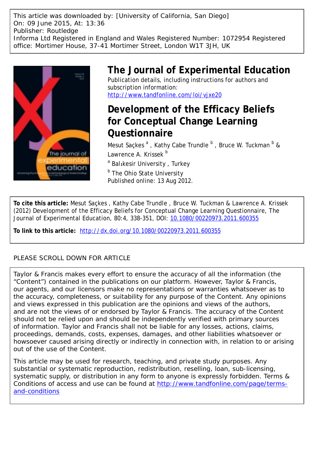This article was downloaded by: [University of California, San Diego] On: 09 June 2015, At: 13:36 Publisher: Routledge Informa Ltd Registered in England and Wales Registered Number: 1072954 Registered office: Mortimer House, 37-41 Mortimer Street, London W1T 3JH, UK



## **The Journal of Experimental Education** Publication details, including instructions for authors and

subscription information: <http://www.tandfonline.com/loi/vjxe20>

# **Development of the Efficacy Beliefs for Conceptual Change Learning Questionnaire**

Mesut Saçkes <sup>a</sup> , Kathy Cabe Trundle <sup>b</sup> , Bruce W. Tuckman <sup>b</sup> & Lawrence A. Krissek <sup>b</sup> <sup>a</sup> Balıkesir University, Turkey

<sup>b</sup> The Ohio State University Published online: 13 Aug 2012.

**To cite this article:** Mesut Saçkes , Kathy Cabe Trundle , Bruce W. Tuckman & Lawrence A. Krissek (2012) Development of the Efficacy Beliefs for Conceptual Change Learning Questionnaire, The Journal of Experimental Education, 80:4, 338-351, DOI: [10.1080/00220973.2011.600355](http://www.tandfonline.com/action/showCitFormats?doi=10.1080/00220973.2011.600355)

**To link to this article:** <http://dx.doi.org/10.1080/00220973.2011.600355>

## PLEASE SCROLL DOWN FOR ARTICLE

Taylor & Francis makes every effort to ensure the accuracy of all the information (the "Content") contained in the publications on our platform. However, Taylor & Francis, our agents, and our licensors make no representations or warranties whatsoever as to the accuracy, completeness, or suitability for any purpose of the Content. Any opinions and views expressed in this publication are the opinions and views of the authors, and are not the views of or endorsed by Taylor & Francis. The accuracy of the Content should not be relied upon and should be independently verified with primary sources of information. Taylor and Francis shall not be liable for any losses, actions, claims, proceedings, demands, costs, expenses, damages, and other liabilities whatsoever or howsoever caused arising directly or indirectly in connection with, in relation to or arising out of the use of the Content.

This article may be used for research, teaching, and private study purposes. Any substantial or systematic reproduction, redistribution, reselling, loan, sub-licensing, systematic supply, or distribution in any form to anyone is expressly forbidden. Terms & Conditions of access and use can be found at [http://www.tandfonline.com/page/terms](http://www.tandfonline.com/page/terms-and-conditions)[and-conditions](http://www.tandfonline.com/page/terms-and-conditions)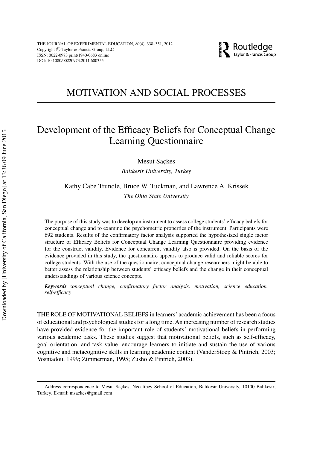

## MOTIVATION AND SOCIAL PROCESSES

# Development of the Efficacy Beliefs for Conceptual Change Learning Questionnaire

Mesut Saçkes *Balıkesir University, Turkey*

Kathy Cabe Trundle*,* Bruce W. Tuckman*,* and Lawrence A. Krissek *The Ohio State University*

The purpose of this study was to develop an instrument to assess college students' efficacy beliefs for conceptual change and to examine the psychometric properties of the instrument. Participants were 692 students. Results of the confirmatory factor analysis supported the hypothesized single factor structure of Efficacy Beliefs for Conceptual Change Learning Questionnaire providing evidence for the construct validity. Evidence for concurrent validity also is provided. On the basis of the evidence provided in this study, the questionnaire appears to produce valid and reliable scores for college students. With the use of the questionnaire, conceptual change researchers might be able to better assess the relationship between students' efficacy beliefs and the change in their conceptual understandings of various science concepts.

*Keywords conceptual change, confirmatory factor analysis, motivation, science education, self-efficacy*

THE ROLE OF MOTIVATIONAL BELIEFS in learners' academic achievement has been a focus of educational and psychological studies for a long time. An increasing number of research studies have provided evidence for the important role of students' motivational beliefs in performing various academic tasks. These studies suggest that motivational beliefs, such as self-efficacy, goal orientation, and task value, encourage learners to initiate and sustain the use of various cognitive and metacognitive skills in learning academic content (VanderStoep & Pintrich, 2003; Vosniadou, 1999; Zimmerman, 1995; Zusho & Pintrich, 2003).

Address correspondence to Mesut Saçkes, Necatibey School of Education, Balıkesir University, 10100 Balıkesir, Turkey. E-mail: msackes@gmail.com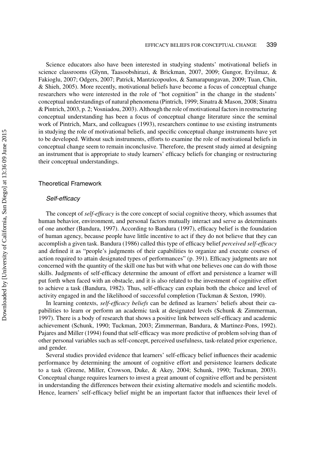Science educators also have been interested in studying students' motivational beliefs in science classrooms (Glynn, Taasoobshirazi, & Brickman, 2007, 2009; Gungor, Eryilmaz, & Fakioglu, 2007; Odgers, 2007; Patrick, Mantzicopoulos, & Samarapungavan, 2009; Tuan, Chin, & Shieh, 2005). More recently, motivational beliefs have become a focus of conceptual change researchers who were interested in the role of "hot cognition" in the change in the students' conceptual understandings of natural phenomena (Pintrich, 1999; Sinatra & Mason, 2008; Sinatra & Pintrich, 2003, p. 2; Vosniadou, 2003). Although the role of motivational factors in restructuring conceptual understanding has been a focus of conceptual change literature since the seminal work of Pintrich, Marx, and colleagues (1993), researchers continue to use existing instruments in studying the role of motivational beliefs, and specific conceptual change instruments have yet to be developed. Without such instruments, efforts to examine the role of motivational beliefs in conceptual change seem to remain inconclusive. Therefore, the present study aimed at designing an instrument that is appropriate to study learners' efficacy beliefs for changing or restructuring their conceptual understandings.

#### Theoretical Framework

#### Self-efficacy

The concept of *self-efficacy* is the core concept of social cognitive theory, which assumes that human behavior, environment, and personal factors mutually interact and serve as determinants of one another (Bandura, 1997). According to Bandura (1997), efficacy belief is the foundation of human agency, because people have little incentive to act if they do not believe that they can accomplish a given task. Bandura (1986) called this type of efficacy belief *perceived self-efficacy* and defined it as "people's judgments of their capabilities to organize and execute courses of action required to attain designated types of performances" (p. 391). Efficacy judgments are not concerned with the quantity of the skill one has but with what one believes one can do with those skills. Judgments of self-efficacy determine the amount of effort and persistence a learner will put forth when faced with an obstacle, and it is also related to the investment of cognitive effort to achieve a task (Bandura, 1982). Thus, self-efficacy can explain both the choice and level of activity engaged in and the likelihood of successful completion (Tuckman & Sexton, 1990).

In learning contexts, *self-efficacy beliefs* can be defined as learners' beliefs about their capabilities to learn or perform an academic task at designated levels (Schunk & Zimmerman, 1997). There is a body of research that shows a positive link between self-efficacy and academic achievement (Schunk, 1990; Tuckman, 2003; Zimmerman, Bandura, & Martinez-Pons, 1992). Pajares and Miller (1994) found that self-efficacy was more predictive of problem solving than of other personal variables such as self-concept, perceived usefulness, task-related prior experience, and gender.

Several studies provided evidence that learners' self-efficacy belief influences their academic performance by determining the amount of cognitive effort and persistence learners dedicate to a task (Greene, Miller, Crowson, Duke, & Akey, 2004; Schunk, 1990; Tuckman, 2003). Conceptual change requires learners to invest a great amount of cognitive effort and be persistent in understanding the differences between their existing alternative models and scientific models. Hence, learners' self-efficacy belief might be an important factor that influences their level of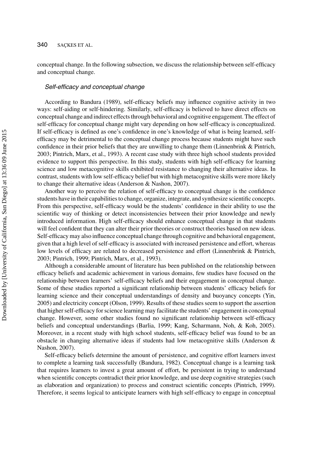conceptual change. In the following subsection, we discuss the relationship between self-efficacy and conceptual change.

#### Self-efficacy and conceptual change

According to Bandura (1989), self-efficacy beliefs may influence cognitive activity in two ways: self-aiding or self-hindering. Similarly, self-efficacy is believed to have direct effects on conceptual change and indirect effects through behavioral and cognitive engagement. The effect of self-efficacy for conceptual change might vary depending on how self-efficacy is conceptualized. If self-efficacy is defined as one's confidence in one's knowledge of what is being learned, selfefficacy may be detrimental to the conceptual change process because students might have such confidence in their prior beliefs that they are unwilling to change them (Linnenbrink & Pintrich, 2003; Pintrich, Marx, et al., 1993). A recent case study with three high school students provided evidence to support this perspective. In this study, students with high self-efficacy for learning science and low metacognitive skills exhibited resistance to changing their alternative ideas. In contrast, students with low self-efficacy belief but with high metacognitive skills were more likely to change their alternative ideas (Anderson & Nashon, 2007).

Another way to perceive the relation of self-efficacy to conceptual change is the confidence students have in their capabilities to change, organize, integrate, and synthesize scientific concepts. From this perspective, self-efficacy would be the students' confidence in their ability to use the scientific way of thinking or detect inconsistencies between their prior knowledge and newly introduced information. High self-efficacy should enhance conceptual change in that students will feel confident that they can alter their prior theories or construct theories based on new ideas. Self-efficacy may also influence conceptual change through cognitive and behavioral engagement, given that a high level of self-efficacy is associated with increased persistence and effort, whereas low levels of efficacy are related to decreased persistence and effort (Linnenbrink & Pintrich, 2003; Pintrich, 1999; Pintrich, Marx, et al., 1993).

Although a considerable amount of literature has been published on the relationship between efficacy beliefs and academic achievement in various domains, few studies have focused on the relationship between learners' self-efficacy beliefs and their engagement in conceptual change. Some of these studies reported a significant relationship between students' efficacy beliefs for learning science and their conceptual understandings of density and buoyancy concepts (Yin, 2005) and electricity concept (Olson, 1999). Results of these studies seem to support the assertion that higher self-efficacy for science learning may facilitate the students' engagement in conceptual change. However, some other studies found no significant relationship between self-efficacy beliefs and conceptual understandings (Barlia, 1999; Kang, Scharmann, Noh, & Koh, 2005). Moreover, in a recent study with high school students, self-efficacy belief was found to be an obstacle in changing alternative ideas if students had low metacognitive skills (Anderson & Nashon, 2007).

Self-efficacy beliefs determine the amount of persistence, and cognitive effort learners invest to complete a learning task successfully (Bandura, 1982). Conceptual change is a learning task that requires learners to invest a great amount of effort, be persistent in trying to understand when scientific concepts contradict their prior knowledge, and use deep cognitive strategies (such as elaboration and organization) to process and construct scientific concepts (Pintrich, 1999). Therefore, it seems logical to anticipate learners with high self-efficacy to engage in conceptual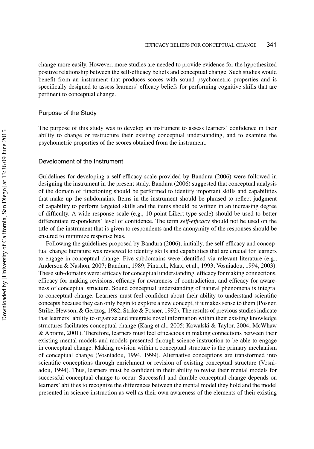change more easily. However, more studies are needed to provide evidence for the hypothesized positive relationship between the self-efficacy beliefs and conceptual change. Such studies would benefit from an instrument that produces scores with sound psychometric properties and is specifically designed to assess learners' efficacy beliefs for performing cognitive skills that are pertinent to conceptual change.

#### Purpose of the Study

The purpose of this study was to develop an instrument to assess learners' confidence in their ability to change or restructure their existing conceptual understanding, and to examine the psychometric properties of the scores obtained from the instrument.

#### Development of the Instrument

Guidelines for developing a self-efficacy scale provided by Bandura (2006) were followed in designing the instrument in the present study. Bandura (2006) suggested that conceptual analysis of the domain of functioning should be performed to identify important skills and capabilities that make up the subdomains. Items in the instrument should be phrased to reflect judgment of capability to perform targeted skills and the items should be written in an increasing degree of difficulty. A wide response scale (e.g., 10-point Likert-type scale) should be used to better differentiate respondents' level of confidence. The term *self-efficacy* should not be used on the title of the instrument that is given to respondents and the anonymity of the responses should be ensured to minimize response bias.

Following the guidelines proposed by Bandura (2006), initially, the self-efficacy and conceptual change literature was reviewed to identify skills and capabilities that are crucial for learners to engage in conceptual change. Five subdomains were identified via relevant literature (e.g., Anderson & Nashon, 2007; Bandura, 1989; Pintrich, Marx, et al., 1993; Vosniadou, 1994, 2003). These sub-domains were: efficacy for conceptual understanding, efficacy for making connections, efficacy for making revisions, efficacy for awareness of contradiction, and efficacy for awareness of conceptual structure. Sound conceptual understanding of natural phenomena is integral to conceptual change. Learners must feel confident about their ability to understand scientific concepts because they can only begin to explore a new concept, if it makes sense to them (Posner, Strike, Hewson, & Gertzog, 1982; Strike & Posner, 1992). The results of previous studies indicate that learners' ability to organize and integrate novel information within their existing knowledge structures facilitates conceptual change (Kang et al., 2005; Kowalski & Taylor, 2004; McWhaw & Abrami, 2001). Therefore, learners must feel efficacious in making connections between their existing mental models and models presented through science instruction to be able to engage in conceptual change. Making revision within a conceptual structure is the primary mechanism of conceptual change (Vosniadou, 1994, 1999). Alternative conceptions are transformed into scientific conceptions through enrichment or revision of existing conceptual structure (Vosniadou, 1994). Thus, learners must be confident in their ability to revise their mental models for successful conceptual change to occur. Successful and durable conceptual change depends on learners' abilities to recognize the differences between the mental model they hold and the model presented in science instruction as well as their own awareness of the elements of their existing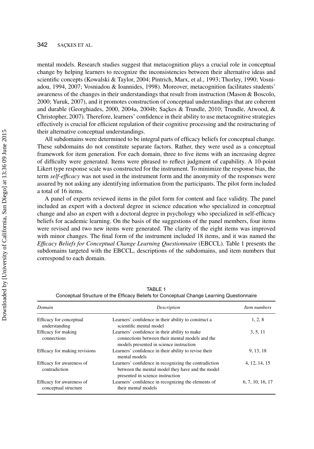mental models. Research studies suggest that metacognition plays a crucial role in conceptual change by helping learners to recognize the inconsistencies between their alternative ideas and scientific concepts (Kowalski & Taylor, 2004; Pintrich, Marx, et al., 1993; Thorley, 1990; Vosniadou, 1994, 2007; Vosniadou & Ioannides, 1998). Moreover, metacognition facilitates students' awareness of the changes in their understandings that result from instruction (Mason & Boscolo, 2000; Yuruk, 2007), and it promotes construction of conceptual understandings that are coherent and durable (Georghiades, 2000, 2004a, 2004b; Sackes & Trundle, 2010; Trundle, Atwood, & Christopher, 2007). Therefore, learners' confidence in their ability to use metacognitive strategies effectively is crucial for efficient regulation of their cognitive processing and the restructuring of their alternative conceptual understandings.

All subdomains were determined to be integral parts of efficacy beliefs for conceptual change. These subdomains do not constitute separate factors. Rather, they were used as a conceptual framework for item generation. For each domain, three to five items with an increasing degree of difficulty were generated. Items were phrased to reflect judgment of capability. A 10-point Likert type response scale was constructed for the instrument. To minimize the response bias, the term *self-efficacy* was not used in the instrument form and the anonymity of the responses were assured by not asking any identifying information from the participants. The pilot form included a total of 16 items.

A panel of experts reviewed items in the pilot form for content and face validity. The panel included an expert with a doctoral degree in science education who specialized in conceptual change and also an expert with a doctoral degree in psychology who specialized in self-efficacy beliefs for academic learning. On the basis of the suggestions of the panel members, four items were revised and two new items were generated. The clarity of the eight items was improved with minor changes. The final form of the instrument included 18 items, and it was named the *Efficacy Beliefs for Conceptual Change Learning Questionnaire* (EBCCL). Table 1 presents the subdomains targeted with the EBCCL, descriptions of the subdomains, and item numbers that correspond to each domain.

| Domain                                            | Description                                                                                                                                   | Item numbers     |
|---------------------------------------------------|-----------------------------------------------------------------------------------------------------------------------------------------------|------------------|
| Efficacy for conceptual<br>understanding          | Learners' confidence in their ability to construct a<br>scientific mental model                                                               | 1, 2, 8          |
| Efficacy for making<br>connections                | Learners' confidence in their ability to make<br>connections between their mental models and the<br>models presented in science instruction   | 3, 5, 11         |
| Efficacy for making revisions                     | Learners' confidence in their ability to revise their<br>mental models                                                                        | 9, 13, 18        |
| Efficacy for awareness of<br>contradiction        | Learners' confidence in recognizing the contradiction<br>between the mental model they have and the model<br>presented in science instruction | 4, 12, 14, 15    |
| Efficacy for awareness of<br>conceptual structure | Learners' confidence in recognizing the elements of<br>their mental models                                                                    | 6, 7, 10, 16, 17 |

TABLE 1 Conceptual Structure of the Efficacy Beliefs for Conceptual Change Learning Questionnaire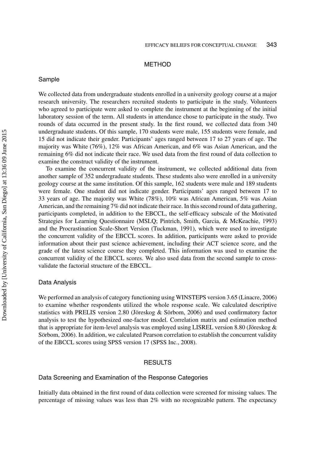#### METHOD

#### Sample

We collected data from undergraduate students enrolled in a university geology course at a major research university. The researchers recruited students to participate in the study. Volunteers who agreed to participate were asked to complete the instrument at the beginning of the initial laboratory session of the term. All students in attendance chose to participate in the study. Two rounds of data occurred in the present study. In the first round, we collected data from 340 undergraduate students. Of this sample, 170 students were male, 155 students were female, and 15 did not indicate their gender. Participants' ages ranged between 17 to 27 years of age. The majority was White (76%), 12% was African American, and 6% was Asian American, and the remaining 6% did not indicate their race. We used data from the first round of data collection to examine the construct validity of the instrument.

To examine the concurrent validity of the instrument, we collected additional data from another sample of 352 undergraduate students. These students also were enrolled in a university geology course at the same institution. Of this sample, 162 students were male and 189 students were female. One student did not indicate gender. Participants' ages ranged between 17 to 33 years of age. The majority was White (78%), 10% was African American, 5% was Asian American, and the remaining 7% did not indicate their race. In this second round of data gathering, participants completed, in addition to the EBCCL, the self-efficacy subscale of the Motivated Strategies for Learning Questionnaire (MSLQ; Pintrich, Smith, Garcia, & McKeachie, 1993) and the Procrastination Scale-Short Version (Tuckman, 1991), which were used to investigate the concurrent validity of the EBCCL scores. In addition, participants were asked to provide information about their past science achievement, including their ACT science score, and the grade of the latest science course they completed. This information was used to examine the concurrent validity of the EBCCL scores. We also used data from the second sample to crossvalidate the factorial structure of the EBCCL.

#### Data Analysis

We performed an analysis of category functioning using WINSTEPS version 3.65 (Linacre, 2006) to examine whether respondents utilized the whole response scale. We calculated descriptive statistics with PRELIS version 2.80 (Jöreskog & Sörbom, 2006) and used confirmatory factor analysis to test the hypothesized one-factor model. Correlation matrix and estimation method that is appropriate for item-level analysis was employed using LISREL version 8.80 (Jöreskog  $\&$ Sörbom, 2006). In addition, we calculated Pearson correlation to establish the concurrent validity of the EBCCL scores using SPSS version 17 (SPSS Inc., 2008).

#### RESULTS

### Data Screening and Examination of the Response Categories

Initially data obtained in the first round of data collection were screened for missing values. The percentage of missing values was less than 2% with no recognizable pattern. The expectancy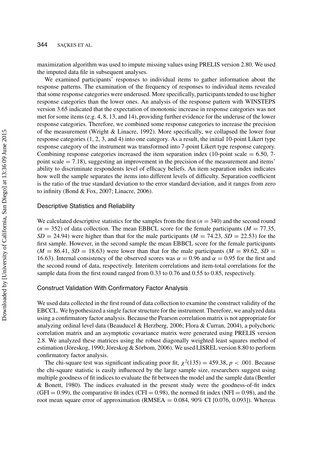maximization algorithm was used to impute missing values using PRELIS version 2.80. We used the imputed data file in subsequent analyses.

We examined participants' responses to individual items to gather information about the response patterns. The examination of the frequency of responses to individual items revealed that some response categories were underused. More specifically, participants tended to use higher response categories than the lower ones. An analysis of the response pattern with WINSTEPS version 3.65 indicated that the expectation of monotonic increase in response categories was not met for some items (e.g. 4, 8, 13, and 14), providing further evidence for the underuse of the lower response categories. Therefore, we combined some response categories to increase the precision of the measurement (Wright & Linacre, 1992). More specifically, we collapsed the lower four response categories (1, 2, 3, and 4) into one category. As a result, the initial 10-point Likert type response category of the instrument was transformed into 7-point Likert type response category. Combining response categories increased the item separation index  $(10\text{-point scale} = 6.50, 7\text{-}$ point scale  $= 7.18$ ), suggesting an improvement in the precision of the measurement and items' ability to discriminate respondents level of efficacy beliefs. An item separation index indicates how well the sample separates the items into different levels of difficulty. Separation coefficient is the ratio of the true standard deviation to the error standard deviation, and it ranges from zero to infinity (Bond & Fox, 2007; Linacre, 2006).

#### Descriptive Statistics and Reliability

We calculated descriptive statistics for the samples from the first  $(n = 340)$  and the second round  $(n = 352)$  of data collection. The mean EBBCL score for the female participants  $(M = 77.35$ ,  $SD = 24.94$ ) were higher than that for the male participants ( $M = 74.23$ ,  $SD = 22.53$ ) for the first sample. However, in the second sample the mean EBBCL score for the female participants  $(M = 86.41, SD = 18.63)$  were lower than that for the male participants  $(M = 89.62, SD =$ 16.63). Internal consistency of the observed scores was  $\alpha = 0.96$  and  $\alpha = 0.95$  for the first and the second round of data, respectively. Interitem correlations and item-total correlations for the sample data from the first round ranged from 0.33 to 0.76 and 0.55 to 0.85, respectively.

#### Construct Validation With Confirmatory Factor Analysis

We used data collected in the first round of data collection to examine the construct validity of the EBCCL. We hypothesized a single factor structure for the instrument. Therefore, we analyzed data using a confirmatory factor analysis. Because the Pearson correlation matrix is not appropriate for analyzing ordinal level data (Beauducel & Herzberg, 2006; Flora & Curran, 2004), a polychoric correlation matrix and an asymptotic covariance matrix were generated using PRELIS version 2.8. We analyzed these matrices using the robust diagonally weighted least squares method of estimation (Jöreskog, 1990; Jöreskog & Sörbom, 2006). We used LISREL version 8.80 to perform confirmatory factor analysis.

The chi-square test was significant indicating poor fit,  $\chi^2(135) = 459.38$ ,  $p < .001$ . Because the chi-square statistic is easily influenced by the large sample size, researchers suggest using multiple goodness of fit indices to evaluate the fit between the model and the sample data (Bentler & Bonett, 1980). The indices evaluated in the present study were the goodness-of-fit index  $(GFI = 0.99)$ , the comparative fit index  $(CFI = 0.98)$ , the normed fit index  $(NFI = 0.98)$ , and the root mean square error of approximation (RMSEA =  $0.084$ ,  $90\%$  CI [0.076, 0.093]). Whereas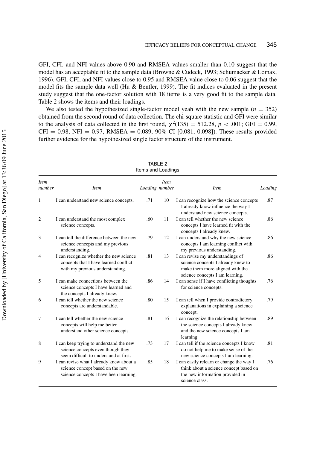GFI, CFI, and NFI values above 0.90 and RMSEA values smaller than 0.10 suggest that the model has an acceptable fit to the sample data (Browne & Cudeck, 1993; Schumacker & Lomax, 1996), GFI, CFI, and NFI values close to 0.95 and RMSEA value close to 0.06 suggest that the model fits the sample data well (Hu & Bentler, 1999). The fit indices evaluated in the present study suggest that the one-factor solution with 18 items is a very good fit to the sample data. Table 2 shows the items and their loadings.

We also tested the hypothesized single-factor model yeah with the new sample  $(n = 352)$ obtained from the second round of data collection. The chi-square statistic and GFI were similar to the analysis of data collected in the first round,  $\chi^2(135) = 512.28$ ,  $p < .001$ ; GFI = 0.99,  $CFI = 0.98$ , NFI = 0.97, RMSEA = 0.089, 90% CI [0.081, 0.098]). These results provided further evidence for the hypothesized single factor structure of the instrument.

| <b>Item</b><br>number | <b>Item</b>                                                                                                            | Loading number | <i>Item</i> | <i>Item</i>                                                                                                                                   | Loading |
|-----------------------|------------------------------------------------------------------------------------------------------------------------|----------------|-------------|-----------------------------------------------------------------------------------------------------------------------------------------------|---------|
| 1                     | I can understand new science concepts.                                                                                 | .71            | 10          | I can recognize how the science concepts<br>I already know influence the way I<br>understand new science concepts.                            | .87     |
| 2                     | I can understand the most complex<br>science concepts.                                                                 | .60            | 11          | I can tell whether the new science<br>concepts I have learned fit with the<br>concepts I already knew.                                        | .86     |
| 3                     | I can tell the difference between the new<br>science concepts and my previous<br>understanding.                        | .79            | 12          | I can understand why the new science<br>concepts I am learning conflict with<br>my previous understanding.                                    | .86     |
| 4                     | I can recognize whether the new science<br>concepts that I have learned conflict<br>with my previous understanding.    | .81            | 13          | I can revise my understandings of<br>science concepts I already knew to<br>make them more aligned with the<br>science concepts I am learning. | .86     |
| 5                     | I can make connections between the<br>science concepts I have learned and<br>the concepts I already knew.              | .86            | 14          | I can sense if I have conflicting thoughts<br>for science concepts.                                                                           | .76     |
| 6                     | I can tell whether the new science<br>concepts are understandable.                                                     | .80            | 15          | I can tell when I provide contradictory<br>explanations in explaining a science<br>concept.                                                   | .79     |
| 7                     | I can tell whether the new science<br>concepts will help me better<br>understand other science concepts.               | .81            | 16          | I can recognize the relationship between<br>the science concepts I already knew<br>and the new science concepts I am<br>learning.             | .89     |
| 8                     | I can keep trying to understand the new<br>science concepts even though they<br>seem difficult to understand at first. | .73            | 17          | I can tell if the science concepts I know<br>do not help me to make sense of the<br>new science concepts I am learning.                       | .81     |
| 9                     | I can revise what I already knew about a<br>science concept based on the new<br>science concepts I have been learning. | .85            | 18          | I can easily relearn or change the way I<br>think about a science concept based on<br>the new information provided in<br>science class.       | .76     |

| TABLE 2            |  |  |  |  |  |
|--------------------|--|--|--|--|--|
| Items and Loadings |  |  |  |  |  |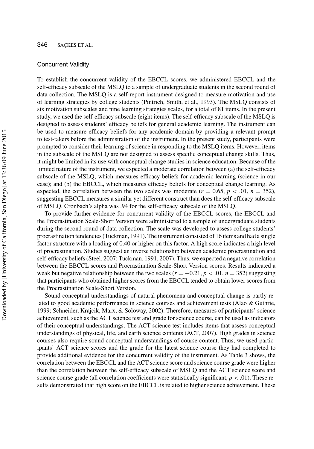#### Concurrent Validity

To establish the concurrent validity of the EBCCL scores, we administered EBCCL and the self-efficacy subscale of the MSLQ to a sample of undergraduate students in the second round of data collection. The MSLQ is a self-report instrument designed to measure motivation and use of learning strategies by college students (Pintrich, Smith, et al., 1993). The MSLQ consists of six motivation subscales and nine learning strategies scales, for a total of 81 items. In the present study, we used the self-efficacy subscale (eight items). The self-efficacy subscale of the MSLQ is designed to assess students' efficacy beliefs for general academic learning. The instrument can be used to measure efficacy beliefs for any academic domain by providing a relevant prompt to test-takers before the administration of the instrument. In the present study, participants were prompted to consider their learning of science in responding to the MSLQ items. However, items in the subscale of the MSLQ are not designed to assess specific conceptual change skills. Thus, it might be limited in its use with conceptual change studies in science education. Because of the limited nature of the instrument, we expected a moderate correlation between (a) the self-efficacy subscale of the MSLQ, which measures efficacy beliefs for academic learning (science in our case); and (b) the EBCCL, which measures efficacy beliefs for conceptual change learning. As expected, the correlation between the two scales was moderate  $(r = 0.65, p < .01, n = 352)$ , suggesting EBCCL measures a similar yet different construct than does the self-efficacy subscale of MSLQ. Cronbach's alpha was .94 for the self-efficacy subscale of the MSLQ.

To provide further evidence for concurrent validity of the EBCCL scores, the EBCCL and the Procrastination Scale-Short Version were administered to a sample of undergraduate students during the second round of data collection. The scale was developed to assess college students' procrastination tendencies (Tuckman, 1991). The instrument consisted of 16 items and had a single factor structure with a loading of 0.40 or higher on this factor. A high score indicates a high level of procrastination. Studies suggest an inverse relationship between academic procrastination and self-efficacy beliefs (Steel, 2007; Tuckman, 1991, 2007). Thus, we expected a negative correlation between the EBCCL scores and Procrastination Scale-Short Version scores. Results indicated a weak but negative relationship between the two scales ( $r = -0.21$ ,  $p < .01$ ,  $n = 352$ ) suggesting that participants who obtained higher scores from the EBCCL tended to obtain lower scores from the Procrastination Scale-Short Version.

Sound conceptual understandings of natural phenomena and conceptual change is partly related to good academic performance in science courses and achievement tests (Alao & Guthrie, 1999; Schneider, Krajcik, Marx, & Soloway, 2002). Therefore, measures of participants' science achievement, such as the ACT science test and grade for science course, can be used as indicators of their conceptual understandings. The ACT science test includes items that assess conceptual understandings of physical, life, and earth science contents (ACT, 2007). High grades in science courses also require sound conceptual understandings of course content. Thus, we used participants' ACT science scores and the grade for the latest science course they had completed to provide additional evidence for the concurrent validity of the instrument. As Table 3 shows, the correlation between the EBCCL and the ACT science score and science course grade were higher than the correlation between the self-efficacy subscale of MSLQ and the ACT science score and science course grade (all correlation coefficients were statistically significant, *p* < .01). These results demonstrated that high score on the EBCCL is related to higher science achievement. These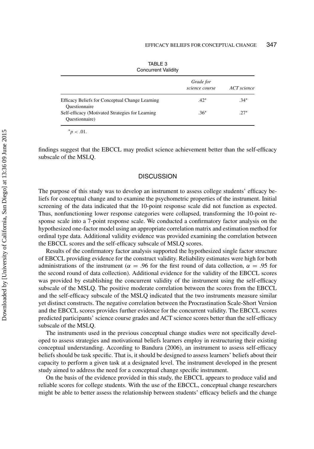| Concurrent Validity                                                |                             |                    |  |  |
|--------------------------------------------------------------------|-----------------------------|--------------------|--|--|
|                                                                    | Grade for<br>science course | <b>ACT</b> science |  |  |
| Efficacy Beliefs for Conceptual Change Learning<br>Ouestionnaire   | $.42*$                      | $.34*$             |  |  |
| Self-efficacy (Motivated Strategies for Learning<br>Questionnaire) | $.36*$                      | $.27*$             |  |  |

TABLE 3 Concurrent Validity

∗*p* < .01.

findings suggest that the EBCCL may predict science achievement better than the self-efficacy subscale of the MSLQ.

#### **DISCUSSION**

The purpose of this study was to develop an instrument to assess college students' efficacy beliefs for conceptual change and to examine the psychometric properties of the instrument. Initial screening of the data indicated that the 10-point response scale did not function as expected. Thus, nonfunctioning lower response categories were collapsed, transforming the 10-point response scale into a 7-point response scale. We conducted a confirmatory factor analysis on the hypothesized one-factor model using an appropriate correlation matrix and estimation method for ordinal type data. Additional validity evidence was provided examining the correlation between the EBCCL scores and the self-efficacy subscale of MSLQ scores.

Results of the confirmatory factor analysis supported the hypothesized single factor structure of EBCCL providing evidence for the construct validity. Reliability estimates were high for both administrations of the instrument ( $\alpha = .96$  for the first round of data collection,  $\alpha = .95$  for the second round of data collection). Additional evidence for the validity of the EBCCL scores was provided by establishing the concurrent validity of the instrument using the self-efficacy subscale of the MSLQ. The positive moderate correlation between the scores from the EBCCL and the self-efficacy subscale of the MSLQ indicated that the two instruments measure similar yet distinct constructs. The negative correlation between the Procrastination Scale-Short Version and the EBCCL scores provides further evidence for the concurrent validity. The EBCCL scores predicted participants' science course grades and ACT science scores better than the self-efficacy subscale of the MSLQ.

The instruments used in the previous conceptual change studies were not specifically developed to assess strategies and motivational beliefs learners employ in restructuring their existing conceptual understanding. According to Bandura (2006), an instrument to assess self-efficacy beliefs should be task specific. That is, it should be designed to assess learners' beliefs about their capacity to perform a given task at a designated level. The instrument developed in the present study aimed to address the need for a conceptual change specific instrument.

On the basis of the evidence provided in this study, the EBCCL appears to produce valid and reliable scores for college students. With the use of the EBCCL, conceptual change researchers might be able to better assess the relationship between students' efficacy beliefs and the change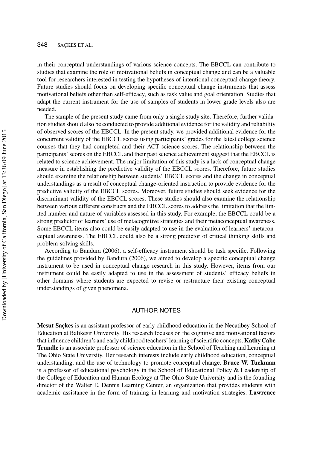in their conceptual understandings of various science concepts. The EBCCL can contribute to studies that examine the role of motivational beliefs in conceptual change and can be a valuable tool for researchers interested in testing the hypotheses of intentional conceptual change theory. Future studies should focus on developing specific conceptual change instruments that assess motivational beliefs other than self-efficacy, such as task value and goal orientation. Studies that adapt the current instrument for the use of samples of students in lower grade levels also are needed.

The sample of the present study came from only a single study site. Therefore, further validation studies should also be conducted to provide additional evidence for the validity and reliability of observed scores of the EBCCL. In the present study, we provided additional evidence for the concurrent validity of the EBCCL scores using participants' grades for the latest college science courses that they had completed and their ACT science scores. The relationship between the participants' scores on the EBCCL and their past science achievement suggest that the EBCCL is related to science achievement. The major limitation of this study is a lack of conceptual change measure in establishing the predictive validity of the EBCCL scores. Therefore, future studies should examine the relationship between students' EBCCL scores and the change in conceptual understandings as a result of conceptual change-oriented instruction to provide evidence for the predictive validity of the EBCCL scores. Moreover, future studies should seek evidence for the discriminant validity of the EBCCL scores. These studies should also examine the relationship between various different constructs and the EBCCL scores to address the limitation that the limited number and nature of variables assessed in this study. For example, the EBCCL could be a strong predictor of learners' use of metacognitive strategies and their metaconceptual awareness. Some EBCCL items also could be easily adapted to use in the evaluation of learners' metaconceptual awareness. The EBCCL could also be a strong predictor of critical thinking skills and problem-solving skills.

According to Bandura (2006), a self-efficacy instrument should be task specific. Following the guidelines provided by Bandura (2006), we aimed to develop a specific conceptual change instrument to be used in conceptual change research in this study. However, items from our instrument could be easily adapted to use in the assessment of students' efficacy beliefs in other domains where students are expected to revise or restructure their existing conceptual understandings of given phenomena.

### AUTHOR NOTES

**Mesut Sackes** is an assistant professor of early childhood education in the Necatibey School of Education at Balıkesir University. His research focuses on the cognitive and motivational factors that influence children's and early childhood teachers' learning of scientific concepts. **Kathy Cabe Trundle** is an associate professor of science education in the School of Teaching and Learning at The Ohio State University. Her research interests include early childhood education, conceptual understanding, and the use of technology to promote conceptual change. **Bruce W. Tuckman** is a professor of educational psychology in the School of Educational Policy & Leadership of the College of Education and Human Ecology at The Ohio State University and is the founding director of the Walter E. Dennis Learning Center, an organization that provides students with academic assistance in the form of training in learning and motivation strategies. **Lawrence**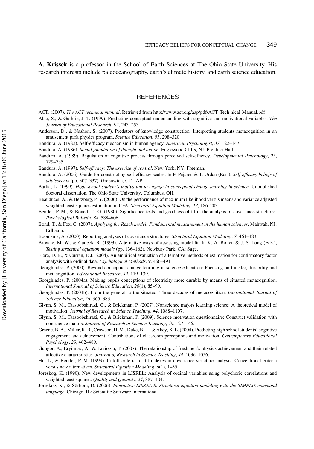**A. Krissek** is a professor in the School of Earth Sciences at The Ohio State University. His research interests include paleoceanography, earth's climate history, and earth science education.

### **REFERENCES**

ACT. (2007). *The ACT technical manual*. Retrieved from http://www.act.org/aap/pdf/ACT Tech nical Manual.pdf

- Alao, S., & Guthrie, J. T. (1999). Predicting conceptual understanding with cognitive and motivational variables. *The Journal of Educational Research*, *92*, 243–253.
- Anderson, D., & Nashon, S. (2007). Predators of knowledge construction: Interpreting students metacognition in an amusement park physics program. *Science Education*, *91*, 298–320.
- Bandura, A. (1982). Self-efficacy mechanism in human agency. *American Psychologist*, *37*, 122–147.
- Bandura, A. (1986). *Social foundation of thought and action*. Englewood Cliffs, NJ: Prentice-Hall.
- Bandura, A. (1989). Regulation of cognitive process through perceived self-efficacy. *Developmental Psychology*, *25*, 729–735.
- Bandura, A. (1997). *Self-efficacy: The exercise of control*. New York, NY: Freeman.
- Bandura, A. (2006). Guide for constructing self-efficacy scales. In F. Pajares & T. Urdan (Eds.), *Self-efficacy beliefs of adolescents* (pp. 307–337). Greenwich, CT: IAP.
- Barlia, L. (1999). *High school student's motivation to engage in conceptual change-learning in science*. Unpublished doctoral dissertation, The Ohio State University, Columbus, OH.
- Beauducel, A., & Herzberg, P. Y. (2006). On the performance of maximum likelihood versus means and variance adjusted weighted least squares estimation in CFA. *Structural Equation Modeling*, *13*, 186–203.
- Bentler, P. M., & Bonett, D. G. (1980). Significance tests and goodness of fit in the analysis of covariance structures. *Psychological Bulletin*, *88*, 588–606.
- Bond, T., & Fox, C. (2007). *Applying the Rasch model: Fundamental measurement in the human sciences*. Mahwah, NJ: Erlbaum.
- Boomsma, A. (2000). Reporting analyses of covariance structures. *Structural Equation Modeling*, *7*, 461–483.
- Browne, M. W., & Cudeck, R. (1993). Alternative ways of assessing model fit. In K. A. Bollen & J. S. Long (Eds.), *Testing structural equation models* (pp. 136–162). Newbury Park, CA: Sage.
- Flora, D. B., & Curran, P. J. (2004). An empirical evaluation of alternative methods of estimation for confirmatory factor analysis with ordinal data. *Psychological Methods*, *9*, 466–491.
- Georghiades, P. (2000). Beyond conceptual change learning in science education: Focusing on transfer, durability and metacognition. *Educational Research*, *42*, 119–139.
- Georghiades, P. (2004a). Making pupils conceptions of electricity more durable by means of situated metacognition. *International Journal of Science Education*, *26*(1), 85–99.
- Georghiades, P. (2004b). From the general to the situated: Three decades of metacognition. *International Journal of Science Education*, *26*, 365–383.
- Glynn, S. M., Taasoobshirazi, G., & Brickman, P. (2007). Nonscience majors learning science: A theoretical model of motivation. *Journal of Research in Science Teaching*, *44*, 1088–1107.
- Glynn, S. M., Taasoobshirazi, G., & Brickman, P. (2009). Science motivation questionnaire: Construct validation with nonscience majors. *Journal of Research in Science Teaching*, *46*, 127–146.
- Greene, B. A., Miller, R. B., Crowson, H. M., Duke, B. L., & Akey, K. L. (2004). Predicting high school students' cognitive engagement and achievement: Contributions of classroom perceptions and motivation. *Contemporary Educational Psychology*, *29*, 462–489.
- Gungor, A., Eryilmaz, A., & Fakioglu, T. (2007). The relationship of freshmen's physics achievement and their related affective characteristics. *Journal of Research in Science Teaching*, *44*, 1036–1056.
- Hu, L., & Bentler, P. M. (1999). Cutoff criteria for fit indexes in covariance structure analysis: Conventional criteria versus new alternatives. *Structural Equation Modeling*, *6*(1), 1–55.
- Jöreskog, K. (1990). New developments in LISREL: Analysis of ordinal variables using polychoric correlations and weighted least squares. *Quality and Quantity*, *24*, 387–404.
- Jöreskog, K., & Sörbom, D. (2006). *Interactive LISREL 8: Structural equation modeling with the SIMPLIS command language*. Chicago, IL: Scientific Software International.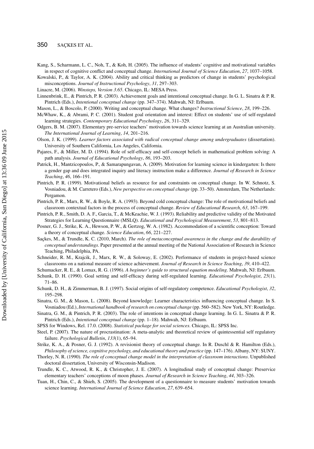#### 350 SACKES ET AL.

Kang, S., Scharmann, L. C., Noh, T., & Koh, H. (2005). The influence of students' cognitive and motivational variables in respect of cognitive conflict and conceptual change. *International Journal of Science Education*, *27*, 1037–1058.

Kowalski, P., & Taylor, A. K. (2004). Ability and critical thinking as predictors of change in students' psychological misconceptions. *Journal of Instructional Psychology*, *31*, 297–303.

Linacre, M. (2006). *Winsteps, Version 3.65*. Chicago, IL: MESA Press.

Linnenbrink, E., & Pintrich, P. R. (2003). Achievement goals and intentional conceptual change. In G. L. Sinatra & P. R. Pintrich (Eds.), *Intentional conceptual change* (pp. 347–374). Mahwah, NJ: Erlbaum.

Mason, L., & Boscolo, P. (2000). Writing and conceptual change. What changes? *Instructional Science*, *28*, 199–226.

- McWhaw, K., & Abrami, P. C. (2001). Student goal orientation and interest: Effect on students' use of self-regulated learning strategies. *Contemporary Educational Psychology*, *26*, 311–329.
- Odgers, B. M. (2007). Elementary pre-service teachers' motivation towards science learning at an Australian university. *The International Journal of Learning*, *14*, 201–216.
- Olson, J. K. (1999). *Learner factors associated with radical conceptual change among undergraduates* (dissertation). University of Southern California, Los Angeles, California.
- Pajares, F., & Miller, M. D. (1994). Role of self-efficacy and self-concept beliefs in mathematical problem solving: A path analysis. *Journal of Educational Psychology*, *86*, 193–203.
- Patrick, H., Mantzicopoulos, P., & Samarapungavan, A. (2009). Motivation for learning science in kindergarten: Is there a gender gap and does integrated inquiry and literacy instruction make a difference. *Journal of Research in Science Teaching*, *46*, 166–191.
- Pintrich, P. R. (1999). Motivational beliefs as resource for and constraints on conceptual change. In W. Schnotz, S. Vosniadou, & M. Carretero (Eds.), *New perspective on conceptual change* (pp. 33–50). Amsterdam, The Netherlands: Pergamon.
- Pintrich, P. R., Marx, R. W., & Boyle, R. A. (1993). Beyond cold conceptual change: The role of motivational beliefs and classroom contextual factors in the process of conceptual change. *Review of Educational Research*, *63*, 167–199.
- Pintrich, P. R., Smith, D. A. F., Garcia, T., & McKeachie, W. J. (1993). Reliability and predictive validity of the Motivated Strategies for Learning Questionnaire (MSLQ). *Educational and Psychological Measurement*, *53*, 801–813.
- Posner, G. J., Strike, K. A., Hewson, P. W., & Gertzog, W. A. (1982). Accommodation of a scientific conception: Toward a theory of conceptual change. *Science Education*, *66*, 221–227.
- Sackes, M., & Trundle, K. C. (2010, March). *The role of metaconceptual awareness in the change and the durability of conceptual understandings*. Paper presented at the annual meeting of the National Association of Research in Science Teaching, Philadelphia, PA.
- Schneider, R. M., Krajcik, J., Marx, R. W., & Soloway, E. (2002). Performance of students in project-based science classrooms on a national measure of science achievement. *Journal of Research in Science Teaching*, *39*, 410–422.

Schumacker, R. E., & Lomax, R. G. (1996). *A beginner's guide to structural equation modeling*. Mahwah, NJ: Erlbaum.

- Schunk, D. H. (1990). Goal setting and self-efficacy during self-regulated learning. *Educational Psychologist*, *25*(1), 71–86.
- Schunk, D. H., & Zimmerman, B. J. (1997). Social origins of self-regulatory competence. *Educational Psychologist*, *32*, 195–298.
- Sinatra, G. M., & Mason, L. (2008). Beyond knowledge: Learner characteristics influencing conceptual change. In S. Vosniadou (Ed.), *International handbook of research on conceptual change* (pp. 560–582). New York, NY: Routledge.
- Sinatra, G. M., & Pintrich, P. R. (2003). The role of intentions in conceptual change learning. In G. L. Sinatra & P. R. Pintrich (Eds.), *Intentional conceptual change* (pp. 1–18). Mahwah, NJ: Erlbaum.
- SPSS for Windows, Rel. 17.0. (2008). *Statistical package for social sciences*. Chicago, IL: SPSS Inc.
- Steel, P. (2007). The nature of procrastination: A meta-analytic and theoretical review of quintessential self regulatory failure. *Psychological Bulletin*, *133*(1), 65–94.
- Strike, K. A., & Posner, G. J. (1992). A revisionist theory of conceptual change. In R. Duschl & R. Hamilton (Eds.), *Philosophy of science, cognitive psychology, and educational theory and practice* (pp. 147–176). Albany, NY: SUNY.
- Thorley, N. R. (1990). *The role of conceptual change model in the interpretation of classroom interactions*. Unpublished doctoral dissertation, University of Wisconsin-Madison.
- Trundle, K. C., Atwood, R. K., & Christopher, J. E. (2007). A longitudinal study of conceptual change: Preservice elementary teachers' conceptions of moon phases. *Journal of Research in Science Teaching*, *44*, 303–326.
- Tuan, H., Chin, C., & Shieh, S. (2005). The development of a questionnaire to measure students' motivation towards science learning. *International Journal of Science Education*, *27*, 639–654.